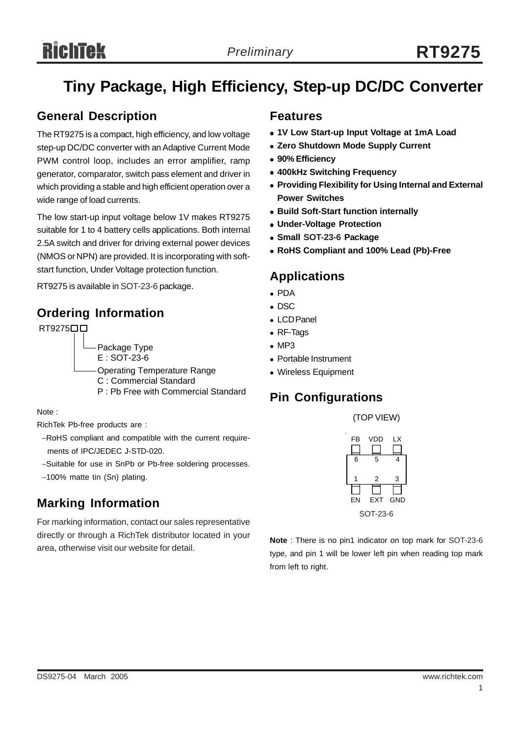# **Tiny Package, High Efficiency, Step-up DC/DC Converter**

### **General Description**

The RT9275 is a compact, high efficiency, and low voltage step-up DC/DC converter with an Adaptive Current Mode PWM control loop, includes an error amplifier, ramp generator, comparator, switch pass element and driver in which providing a stable and high efficient operation over a wide range of load currents.

The low start-up input voltage below 1V makes RT9275 suitable for 1 to 4 battery cells applications. Both internal 2.5A switch and driver for driving external power devices (NMOS or NPN) are provided. It is incorporating with softstart function, Under Voltage protection function.

RT9275 is available in SOT-23-6 package.

### **Ordering Information**

RT9275□□ Package Type E : SOT-23-6 Operating Temperature Range C : Commercial Standard P : Pb Free with Commercial Standard

Note :

RichTek Pb-free products are :

- −RoHS compliant and compatible with the current require ments of IPC/JEDEC J-STD-020.
- −Suitable for use in SnPb or Pb-free soldering processes.
- −100% matte tin (Sn) plating.

## **Marking Information**

For marking information, contact our sales representative directly or through a RichTek distributor located in your area, otherwise visit our website for detail.

### **Features**

- <sup>z</sup> **1V Low Start-up Input Voltage at 1mA Load**
- **Zero Shutdown Mode Supply Current**
- <sup>z</sup> **90% Efficiency**
- <sup>z</sup> **400kHz Switching Frequency**
- **Providing Flexibility for Using Internal and External Power Switches**
- **Build Soft-Start function internally**
- **Under-Voltage Protection**
- **Small SOT-23-6 Package**
- <sup>z</sup> **RoHS Compliant and 100% Lead (Pb)-Free**

### **Applications**

- $\bullet$  PDA
- $\bullet$  DSC
- LCD Panel
- RF-Tags
- $\bullet$  MP3
- Portable Instrument
- Wireless Equipment

## **Pin Configurations**

(TOP VIEW)



**Note** : There is no pin1 indicator on top mark for SOT-23-6 type, and pin 1 will be lower left pin when reading top mark from left to right.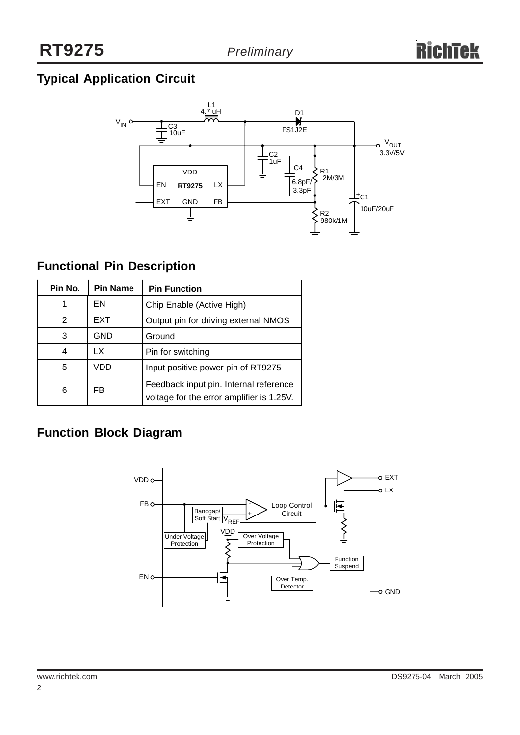## **Typical Application Circuit**



### **Functional Pin Description**

| Pin No. | <b>Pin Name</b> | <b>Pin Function</b>                                                                 |
|---------|-----------------|-------------------------------------------------------------------------------------|
|         | EN              | Chip Enable (Active High)                                                           |
| 2       | <b>EXT</b>      | Output pin for driving external NMOS                                                |
| 3       | <b>GND</b>      | Ground                                                                              |
|         | LX              | Pin for switching                                                                   |
| 5       | VDD             | Input positive power pin of RT9275                                                  |
| 6       | FB              | Feedback input pin. Internal reference<br>voltage for the error amplifier is 1.25V. |

### **Function Block Diagram**

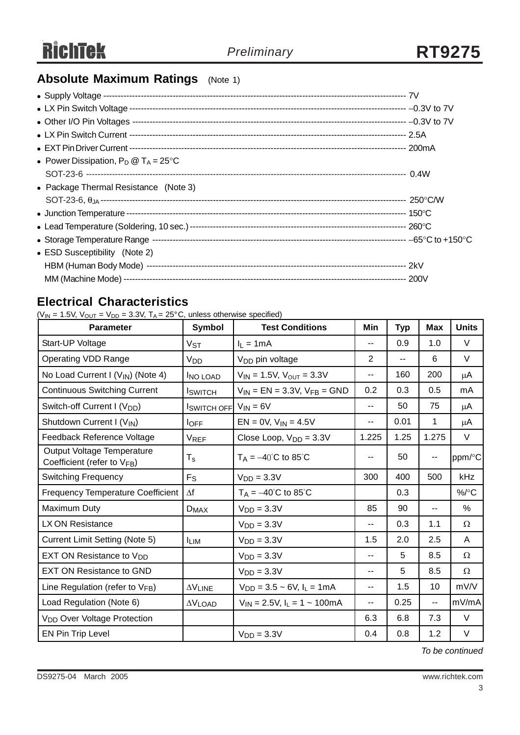## **Absolute Maximum Ratings** (Note 1)

| • Power Dissipation, $P_D @ T_A = 25^{\circ}C$ |  |
|------------------------------------------------|--|
|                                                |  |
| • Package Thermal Resistance (Note 3)          |  |
|                                                |  |
|                                                |  |
|                                                |  |
|                                                |  |
| • ESD Susceptibility (Note 2)                  |  |
|                                                |  |
|                                                |  |

### **Electrical Characteristics**

 $(V_{IN} = 1.5V, V_{OUT} = V_{DD} = 3.3V, T_A = 25^{\circ}C,$  unless otherwise specified)

| <b>Parameter</b>                                               | Symbol                      | <b>Test Conditions</b>                 | Min            | <b>Typ</b> | <b>Max</b>  | <b>Units</b> |
|----------------------------------------------------------------|-----------------------------|----------------------------------------|----------------|------------|-------------|--------------|
| Start-UP Voltage                                               | $V_{ST}$                    | $I_1 = 1mA$                            | --             | 0.9        | 1.0         | $\vee$       |
| <b>Operating VDD Range</b>                                     | V <sub>DD</sub>             | V <sub>DD</sub> pin voltage            | $\overline{2}$ | $-$        | 6           | V            |
| No Load Current I (V <sub>IN</sub> ) (Note 4)                  | <b>INO LOAD</b>             | $V_{IN}$ = 1.5V, $V_{OUT}$ = 3.3V      | --             | 160        | 200         | μA           |
| <b>Continuous Switching Current</b>                            | <b>I</b> SWITCH             | $V_{IN}$ = EN = 3.3V, $V_{FB}$ = GND   | 0.2            | 0.3        | 0.5         | mA           |
| Switch-off Current I (V <sub>DD</sub> )                        | $ISWITCH OFF$ $VIN = 6V$    |                                        | $-$            | 50         | 75          | μA           |
| Shutdown Current I (VIN)                                       | $I_{\text{OFF}}$            | $EN = 0V$ , $V_{IN} = 4.5V$            | --             | 0.01       | $\mathbf 1$ | μA           |
| Feedback Reference Voltage                                     | <b>VREF</b>                 | Close Loop, $V_{DD} = 3.3V$            | 1.225          | 1.25       | 1.275       | V            |
| Output Voltage Temperature<br>Coefficient (refer to $V_{FB}$ ) | $T_{\rm s}$                 | $T_A = -40^{\circ}C$ to 85°C           | --             | 50         | --          | ppm/°C       |
| <b>Switching Frequency</b>                                     | $F_S$                       | $VDD = 3.3V$                           | 300            | 400        | 500         | kHz          |
| <b>Frequency Temperature Coefficient</b>                       | $\Delta f$                  | $T_A = -40^{\circ}C$ to 85°C           |                | 0.3        |             | $\%$ /°C     |
| Maximum Duty                                                   | $D_{MAX}$                   | $VDD = 3.3V$                           | 85             | 90         | --          | %            |
| LX ON Resistance                                               |                             | $VDD = 3.3V$                           | --             | 0.3        | 1.1         | Ω            |
| <b>Current Limit Setting (Note 5)</b>                          | <b>ILIM</b>                 | $VDD = 3.3V$                           | 1.5            | 2.0        | 2.5         | A            |
| EXT ON Resistance to V <sub>DD</sub>                           |                             | $VDD = 3.3V$                           | --             | 5          | 8.5         | Ω            |
| <b>EXT ON Resistance to GND</b>                                |                             | $VDD = 3.3V$                           | --             | 5          | 8.5         | $\Omega$     |
| Line Regulation (refer to $V_{FB}$ )                           | $\Delta \rm{V}_{\rm{LINE}}$ | $V_{DD} = 3.5 \sim 6V$ , $I_L = 1mA$   | --             | 1.5        | 10          | mV/V         |
| Load Regulation (Note 6)                                       | $\Delta V$ LOAD             | $V_{IN} = 2.5V$ , $I_L = 1 \sim 100mA$ | --             | 0.25       | --          | mV/mA        |
| V <sub>DD</sub> Over Voltage Protection                        |                             |                                        | 6.3            | 6.8        | 7.3         | V            |
| EN Pin Trip Level                                              |                             | $VDD = 3.3V$                           | 0.4            | 0.8        | 1.2         | V            |

*To be continued*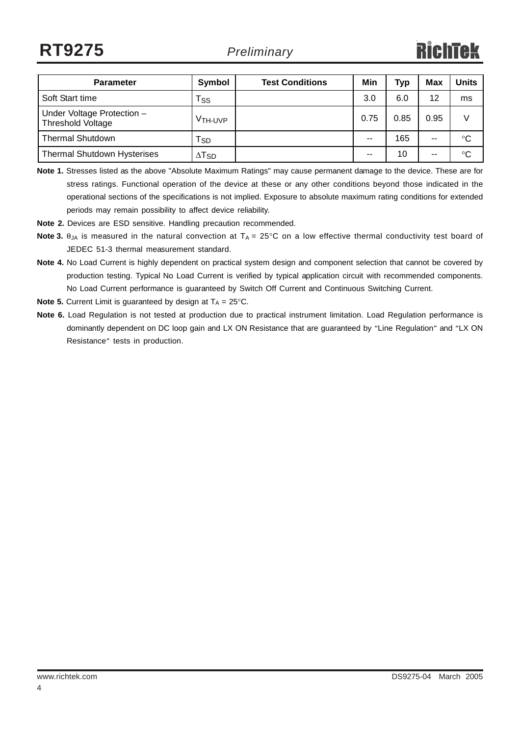| <b>Parameter</b>                                       | Symbol                   | <b>Test Conditions</b> | Min   | <b>Typ</b> | <b>Max</b> | <b>Units</b> |
|--------------------------------------------------------|--------------------------|------------------------|-------|------------|------------|--------------|
| Soft Start time                                        | $\mathsf{Ts}_\mathsf{S}$ |                        | 3.0   | 6.0        | 12         | ms           |
| Under Voltage Protection -<br><b>Threshold Voltage</b> | V <sub>TH</sub> UVP      |                        | 0.75  | 0.85       | 0.95       | V            |
| <b>Thermal Shutdown</b>                                | Tsp                      |                        | $- -$ | 165        | --         | $^{\circ}C$  |
| <b>Thermal Shutdown Hysterises</b>                     | $\Delta$ T <sub>SD</sub> |                        | $- -$ | 10         | $- -$      | °C           |

**Note 1.** Stresses listed as the above "Absolute Maximum Ratings" may cause permanent damage to the device. These are for stress ratings. Functional operation of the device at these or any other conditions beyond those indicated in the operational sections of the specifications is not implied. Exposure to absolute maximum rating conditions for extended periods may remain possibility to affect device reliability.

**Note 2.** Devices are ESD sensitive. Handling precaution recommended.

- **Note 3.**  $\theta_{JA}$  is measured in the natural convection at  $T_A = 25^{\circ}C$  on a low effective thermal conductivity test board of JEDEC 51-3 thermal measurement standard.
- **Note 4.** No Load Current is highly dependent on practical system design and component selection that cannot be covered by production testing. Typical No Load Current is verified by typical application circuit with recommended components. No Load Current performance is guaranteed by Switch Off Current and Continuous Switching Current.
- **Note 5.** Current Limit is quaranteed by design at  $T_A = 25^\circ \text{C}$ .
- **Note 6.** Load Regulation is not tested at production due to practical instrument limitation. Load Regulation performance is dominantly dependent on DC loop gain and LX ON Resistance that are guaranteed by "Line Regulation" and "LX ON Resistance" tests in production.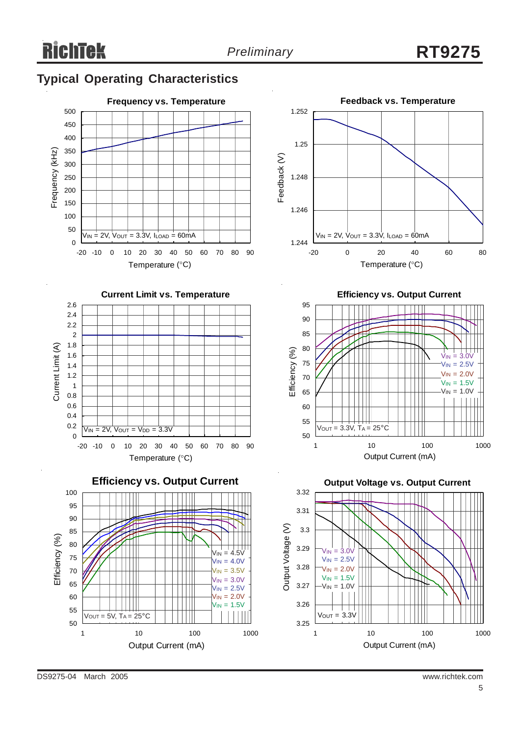## **Typical Operating Characteristics**





 $\overline{0}$ -20 -10 0 10 20 30 40 50 60 70 80 90 Temperature (°C)  $V_{IN} = 2V$ ,  $V_{OUT} = V_{DD} = 3.3V$ 







**Efficiency vs. Output Current**



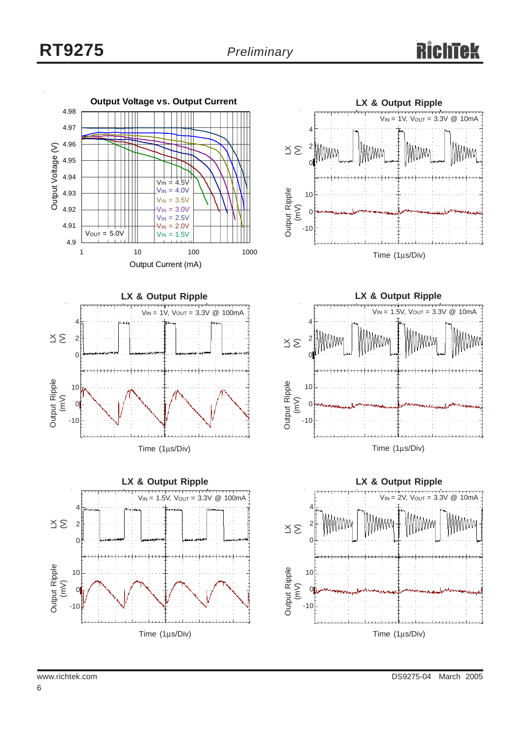



Time (1μs/Div)





**LX & Output Ripple**  $\leq$ Output Ripple Output Ripple<br>(mV) Time (1μs/Div)  $V_{IN} = 1.5V$ ,  $V_{OUT} = 3.3V$  @ 10mA 4 2 0 10 0 -10

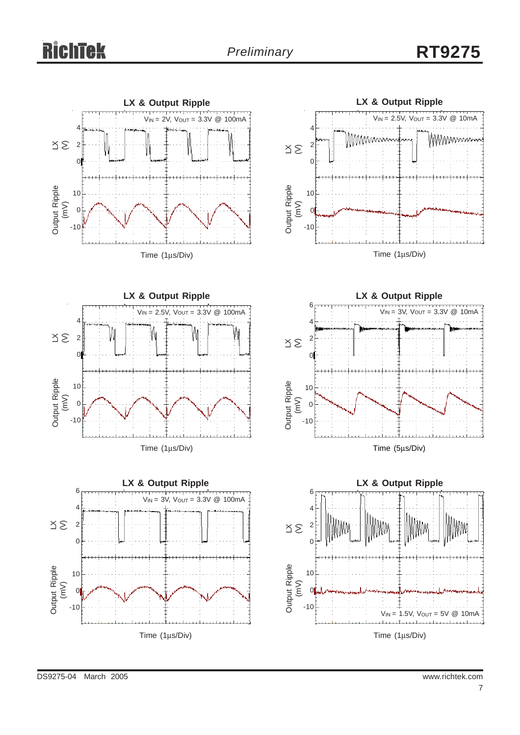# *Preliminary* **RT9275**





**LX & Output Ripple** Time (1μs/Div)  $V_{IN} = 2.5V$ ,  $V_{OUT} = 3.3V$  @ 100mA 4 2  $\sqrt{ }$ 10 0 -10  $\leq$ Output Ripple Output Ripple<br>(mV)





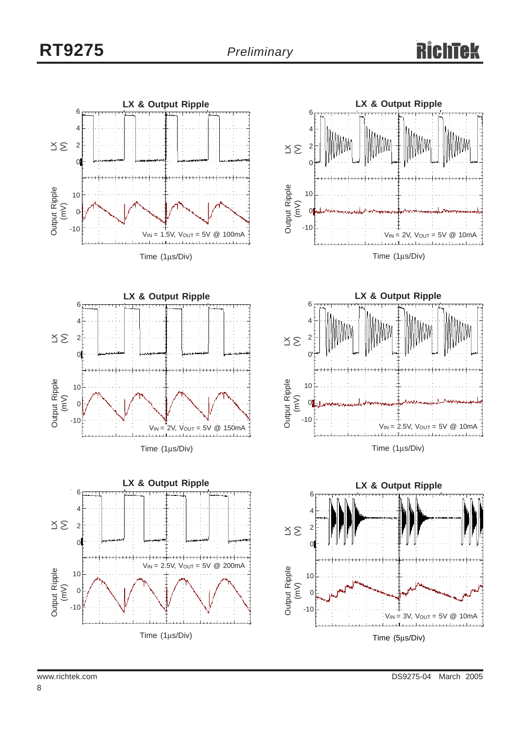### Rich Tek





Time (1μs/Div)



Time (1μs/Div)





**LX & Output Ripple**  $\leq$ Output Ripple Output Ripple<br>(mV) Time (5μs/Div)  $V_{IN} = 3V$ ,  $V_{OUT} = 5V$  @ 10mA 6 4 2  $\epsilon$ 10 0 -10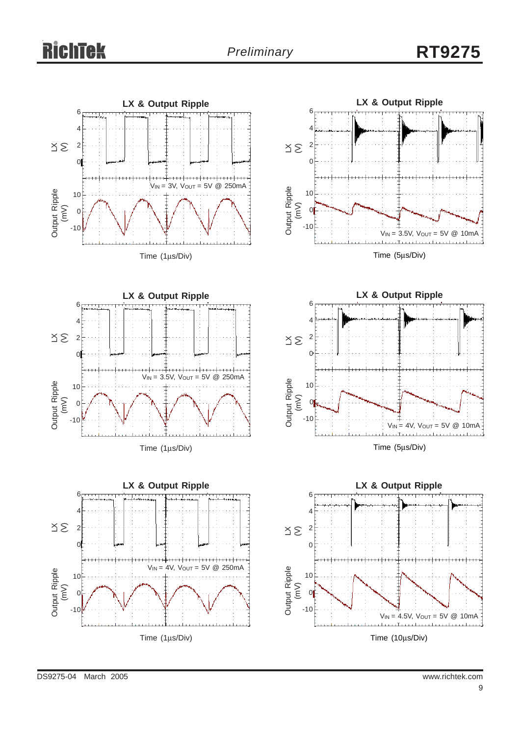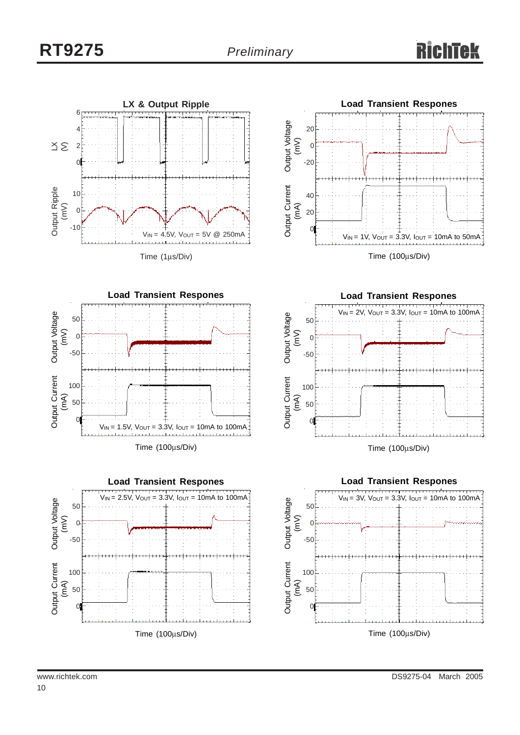











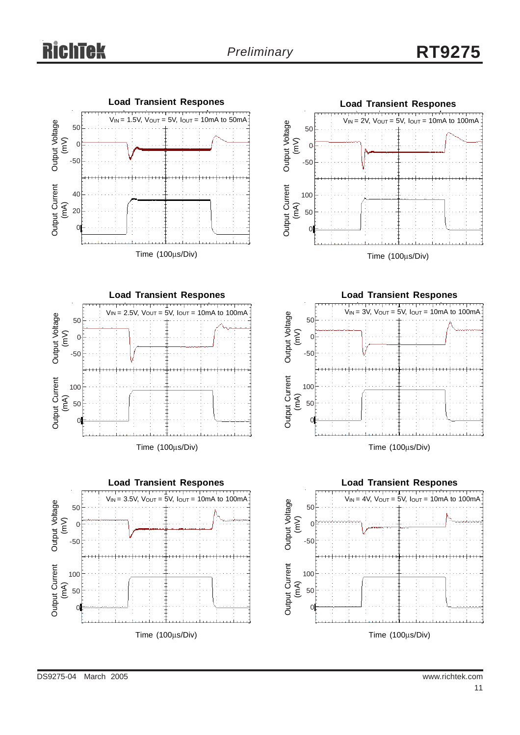# *Preliminary* **RT9275**











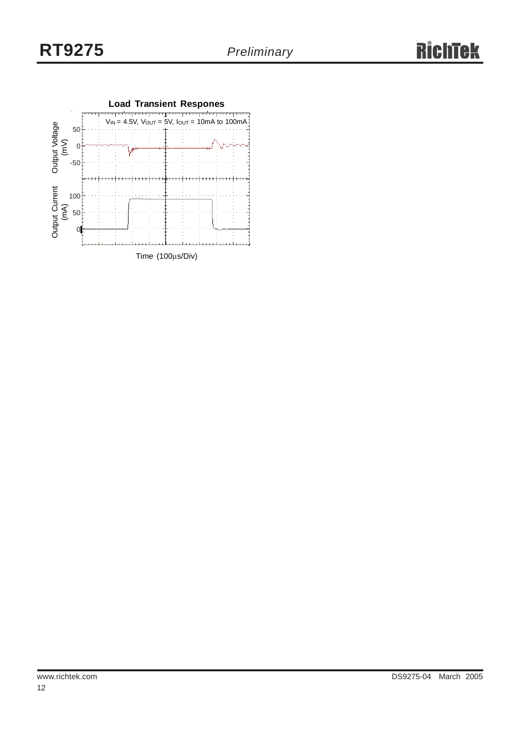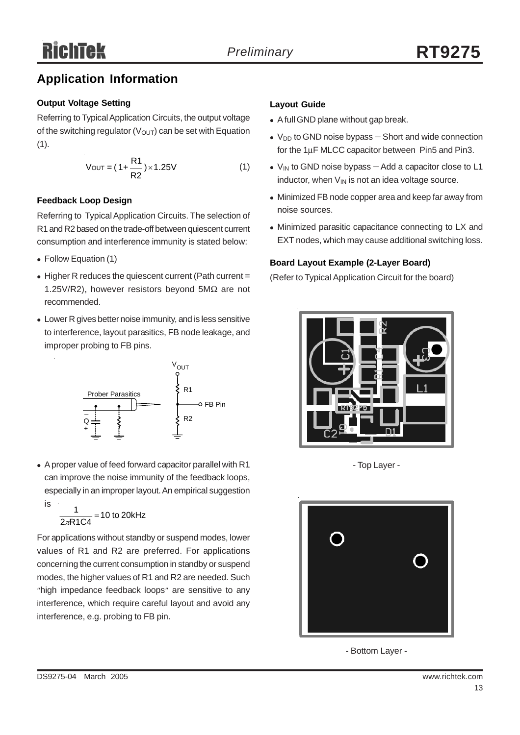## **Application Information**

### **Output Voltage Setting**

Referring to Typical Application Circuits, the output voltage of the switching regulator ( $V<sub>OUT</sub>$ ) can be set with Equation  $(1).$ 

$$
V_{\text{OUT}} = (1 + \frac{R1}{R2}) \times 1.25V
$$
 (1)

### **Feedback Loop Design**

Referring to Typical Application Circuits. The selection of R1 and R2 based on the trade-off between quiescent current consumption and interference immunity is stated below:

- Follow Equation (1)
- $\bullet$  Higher R reduces the quiescent current (Path current = 1.25V/R2), however resistors beyond 5MΩ are not recommended.
- Lower R gives better noise immunity, and is less sensitive to interference, layout parasitics, FB node leakage, and improper probing to FB pins.



• A proper value of feed forward capacitor parallel with R1 can improve the noise immunity of the feedback loops, especially in an improper layout. An empirical suggestion is

 $\frac{1}{2\pi R1C4}$  = 10 to 20kHz

For applications without standby or suspend modes, lower values of R1 and R2 are preferred. For applications concerning the current consumption in standby or suspend modes, the higher values of R1 and R2 are needed. Such "high impedance feedback loops" are sensitive to any interference, which require careful layout and avoid any interference, e.g. probing to FB pin.

### **Layout Guide**

- A full GND plane without gap break.
- V<sub>DD</sub> to GND noise bypass Short and wide connection for the 1μF MLCC capacitor between Pin5 and Pin3.
- V<sub>IN</sub> to GND noise bypass Add a capacitor close to L1 inductor, when  $V_{IN}$  is not an idea voltage source.
- Minimized FB node copper area and keep far away from noise sources.
- Minimized parasitic capacitance connecting to LX and EXT nodes, which may cause additional switching loss.

### **Board Layout Example (2-Layer Board)**

(Refer to Typical Application Circuit for the board)



- Top Layer -



- Bottom Layer -